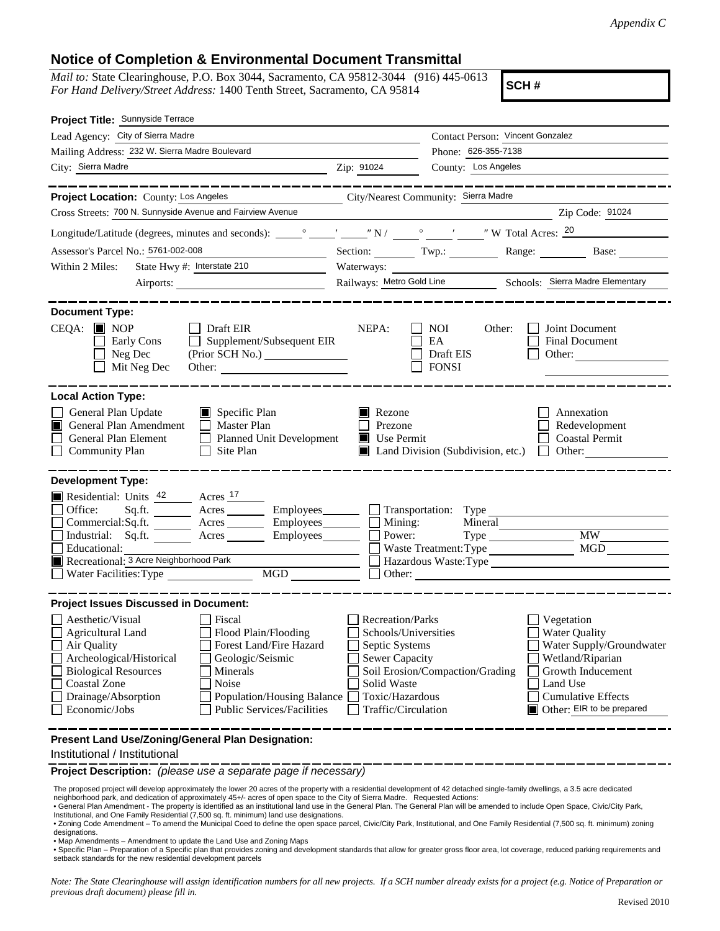## **Notice of Completion & Environmental Document Transmittal**

*Mail to:* State Clearinghouse, P.O. Box 3044, Sacramento, CA 95812-3044 (916) 445-0613 *For Hand Delivery/Street Address:* 1400 Tenth Street, Sacramento, CA 95814

**SCH #**

| Project Title: Sunnyside Terrace                                                                                                                                                                                                                                                                                                                                                                   |                                                                                                                                                     |                                                         |                                                                                                                                                                               |
|----------------------------------------------------------------------------------------------------------------------------------------------------------------------------------------------------------------------------------------------------------------------------------------------------------------------------------------------------------------------------------------------------|-----------------------------------------------------------------------------------------------------------------------------------------------------|---------------------------------------------------------|-------------------------------------------------------------------------------------------------------------------------------------------------------------------------------|
| Lead Agency: City of Sierra Madre                                                                                                                                                                                                                                                                                                                                                                  |                                                                                                                                                     | Contact Person: Vincent Gonzalez                        |                                                                                                                                                                               |
| Mailing Address: 232 W. Sierra Madre Boulevard                                                                                                                                                                                                                                                                                                                                                     |                                                                                                                                                     | Phone: 626-355-7138                                     |                                                                                                                                                                               |
| City: Sierra Madre<br><u> 1989 - Johann Barbara, martxa amerikan personal (</u>                                                                                                                                                                                                                                                                                                                    | Zip: 91024                                                                                                                                          | County: Los Angeles                                     |                                                                                                                                                                               |
|                                                                                                                                                                                                                                                                                                                                                                                                    |                                                                                                                                                     |                                                         |                                                                                                                                                                               |
| Project Location: County: Los Angeles                                                                                                                                                                                                                                                                                                                                                              | City/Nearest Community: Sierra Madre                                                                                                                |                                                         |                                                                                                                                                                               |
| Cross Streets: 700 N. Sunnyside Avenue and Fairview Avenue                                                                                                                                                                                                                                                                                                                                         |                                                                                                                                                     |                                                         | Zip Code: 91024                                                                                                                                                               |
|                                                                                                                                                                                                                                                                                                                                                                                                    |                                                                                                                                                     |                                                         |                                                                                                                                                                               |
| Assessor's Parcel No.: 5761-002-008                                                                                                                                                                                                                                                                                                                                                                |                                                                                                                                                     |                                                         | Section: Twp.: Range: Base:                                                                                                                                                   |
| State Hwy #: Interstate 210<br>Within 2 Miles:                                                                                                                                                                                                                                                                                                                                                     | Waterways:                                                                                                                                          |                                                         |                                                                                                                                                                               |
|                                                                                                                                                                                                                                                                                                                                                                                                    |                                                                                                                                                     |                                                         | Railways: Metro Gold Line Schools: Sierra Madre Elementary                                                                                                                    |
|                                                                                                                                                                                                                                                                                                                                                                                                    |                                                                                                                                                     |                                                         |                                                                                                                                                                               |
| <b>Document Type:</b><br>$CEQA:$ MOP<br>$\Box$ Draft EIR<br>$\Box$ Supplement/Subsequent EIR<br>Early Cons<br>$\Box$ Neg Dec<br>(Prior SCH No.)<br>Mit Neg Dec                                                                                                                                                                                                                                     | NEPA:                                                                                                                                               | <b>NOI</b><br>Other:<br>EA<br>Draft EIS<br><b>FONSI</b> | Joint Document<br>Final Document<br>Other:                                                                                                                                    |
| <b>Local Action Type:</b><br>General Plan Update<br>Specific Plan<br>General Plan Amendment<br>Master Plan<br>General Plan Element<br>Planned Unit Development<br>Community Plan<br>Site Plan<br>$\perp$                                                                                                                                                                                           | Rezone<br>Prezone<br>Use Permit                                                                                                                     | Land Division (Subdivision, etc.)                       | Annexation<br>Redevelopment<br><b>Coastal Permit</b><br>$\Box$ Other:                                                                                                         |
| <b>Development Type:</b>                                                                                                                                                                                                                                                                                                                                                                           |                                                                                                                                                     |                                                         |                                                                                                                                                                               |
| Residential: Units $\frac{42}{ }$ Acres $\frac{17}{ }$<br>Office:<br>Sq.ft. ________ Acres __________ Employees_________ __ Transportation: Type _____<br>Commercial:Sq.ft. ________ Acres _________ Employees _______ __ Mining:<br>Industrial: Sq.ft. _______ Acres ________ Employees________ $\Box$<br>Educational:<br>Recreational: 3 Acre Neighborhood Park<br>Water Facilities: Type<br>MGD | Power:                                                                                                                                              | Mineral<br>Type<br>Waste Treatment: Type<br>Other:      | <b>MW</b><br><b>MGD</b><br>Hazardous Waste:Type                                                                                                                               |
| <b>Project Issues Discussed in Document:</b>                                                                                                                                                                                                                                                                                                                                                       |                                                                                                                                                     |                                                         |                                                                                                                                                                               |
| Aesthetic/Visual<br>Fiscal<br>Flood Plain/Flooding<br><b>Agricultural Land</b><br>Forest Land/Fire Hazard<br>Air Quality<br>Archeological/Historical<br>Geologic/Seismic<br><b>Biological Resources</b><br>Minerals<br><b>Coastal Zone</b><br>Noise<br>Drainage/Absorption<br>Population/Housing Balance<br>Economic/Jobs<br><b>Public Services/Facilities</b>                                     | <b>Recreation/Parks</b><br>Schools/Universities<br>Septic Systems<br><b>Sewer Capacity</b><br>Solid Waste<br>Toxic/Hazardous<br>Traffic/Circulation | Soil Erosion/Compaction/Grading                         | Vegetation<br><b>Water Quality</b><br>Water Supply/Groundwater<br>Wetland/Riparian<br>Growth Inducement<br>Land Use<br><b>Cumulative Effects</b><br>Other: EIR to be prepared |
| Present Land Use/Zoning/General Plan Designation:<br>Institutional / Institutional                                                                                                                                                                                                                                                                                                                 |                                                                                                                                                     |                                                         |                                                                                                                                                                               |

**Project Description:** *(please use a separate page if necessary)*

 The proposed project will develop approximately the lower 20 acres of the property with a residential development of 42 detached single-family dwellings, a 3.5 acre dedicated neighborhood park, and dedication of approximately 45+/- acres of open space to the City of Sierra Madre. Requested Actions:

• General Plan Amendment - The property is identified as an institutional land use in the General Plan. The General Plan will be amended to include Open Space, Civic/City Park, Institutional, and One Family Residential (7,500 sq. ft. minimum) land use designations.

. Zoning Code Amendment - To amend the Municipal Coed to define the open space parcel, Civic/City Park, Institutional, and One Family Residential (7,500 sq. ft. minimum) zoning designations.

• Map Amendments – Amendment to update the Land Use and Zoning Maps

• Specific Plan – Preparation of a Specific plan that provides zoning and development standards that allow for greater gross floor area, lot coverage, reduced parking requirements and setback standards for the new residential development parcels

*Note: The State Clearinghouse will assign identification numbers for all new projects. If a SCH number already exists for a project (e.g. Notice of Preparation or previous draft document) please fill in.*